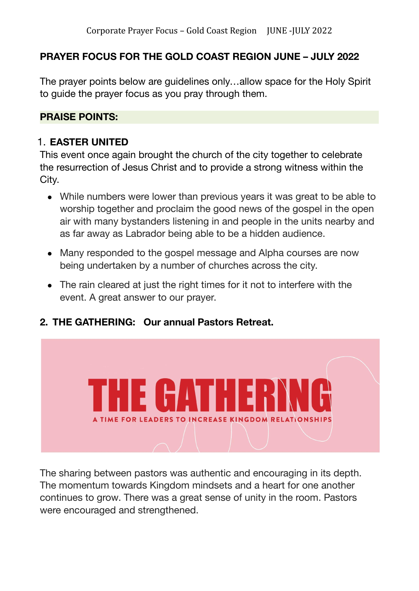# **PRAYER FOCUS FOR THE GOLD COAST REGION JUNE – JULY 2022**

The prayer points below are guidelines only…allow space for the Holy Spirit to guide the prayer focus as you pray through them.

#### **PRAISE POINTS:**

#### 1. **EASTER UNITED**

This event once again brought the church of the city together to celebrate the resurrection of Jesus Christ and to provide a strong witness within the City.

- While numbers were lower than previous years it was great to be able to worship together and proclaim the good news of the gospel in the open air with many bystanders listening in and people in the units nearby and as far away as Labrador being able to be a hidden audience.
- Many responded to the gospel message and Alpha courses are now being undertaken by a number of churches across the city.
- The rain cleared at just the right times for it not to interfere with the event. A great answer to our prayer.
- **2. THE GATHERING: Our annual Pastors Retreat.**



The sharing between pastors was authentic and encouraging in its depth. The momentum towards Kingdom mindsets and a heart for one another continues to grow. There was a great sense of unity in the room. Pastors were encouraged and strengthened.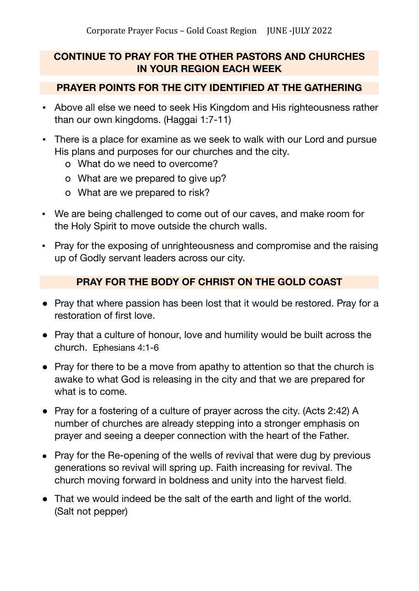# **CONTINUE TO PRAY FOR THE OTHER PASTORS AND CHURCHES IN YOUR REGION EACH WEEK**

#### **PRAYER POINTS FOR THE CITY IDENTIFIED AT THE GATHERING**

- Above all else we need to seek His Kingdom and His righteousness rather than our own kingdoms. (Haggai 1:7-11)
- There is a place for examine as we seek to walk with our Lord and pursue His plans and purposes for our churches and the city.
	- o What do we need to overcome?
	- o What are we prepared to give up?
	- o What are we prepared to risk?
- We are being challenged to come out of our caves, and make room for the Holy Spirit to move outside the church walls.
- Pray for the exposing of unrighteousness and compromise and the raising up of Godly servant leaders across our city.

## **PRAY FOR THE BODY OF CHRIST ON THE GOLD COAST**

- Pray that where passion has been lost that it would be restored. Pray for a restoration of first love.
- Pray that a culture of honour, love and humility would be built across the church. Ephesians 4:1-6
- Pray for there to be a move from apathy to attention so that the church is awake to what God is releasing in the city and that we are prepared for what is to come.
- Pray for a fostering of a culture of prayer across the city. (Acts 2:42) A number of churches are already stepping into a stronger emphasis on prayer and seeing a deeper connection with the heart of the Father.
- Pray for the Re-opening of the wells of revival that were dug by previous generations so revival will spring up. Faith increasing for revival. The church moving forward in boldness and unity into the harvest field.
- That we would indeed be the salt of the earth and light of the world. (Salt not pepper)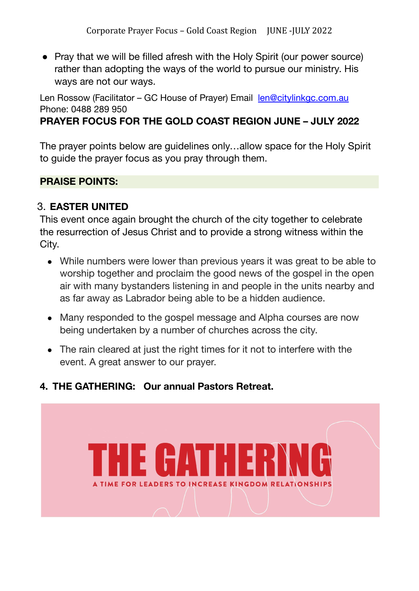• Pray that we will be filled afresh with the Holy Spirit (our power source) rather than adopting the ways of the world to pursue our ministry. His ways are not our ways.

Len Rossow (Facilitator - GC House of Prayer) Email [len@citylinkgc.com.au](mailto:len@citylinkgc.com.au) Phone: 0488 289 950

# **PRAYER FOCUS FOR THE GOLD COAST REGION JUNE – JULY 2022**

The prayer points below are guidelines only…allow space for the Holy Spirit to guide the prayer focus as you pray through them.

## **PRAISE POINTS:**

#### 3. **EASTER UNITED**

This event once again brought the church of the city together to celebrate the resurrection of Jesus Christ and to provide a strong witness within the City.

- While numbers were lower than previous years it was great to be able to worship together and proclaim the good news of the gospel in the open air with many bystanders listening in and people in the units nearby and as far away as Labrador being able to be a hidden audience.
- Many responded to the gospel message and Alpha courses are now being undertaken by a number of churches across the city.
- The rain cleared at just the right times for it not to interfere with the event. A great answer to our prayer.

## **4. THE GATHERING: Our annual Pastors Retreat.**

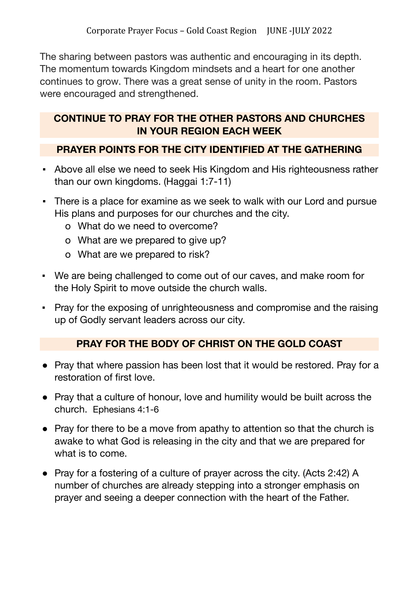The sharing between pastors was authentic and encouraging in its depth. The momentum towards Kingdom mindsets and a heart for one another continues to grow. There was a great sense of unity in the room. Pastors were encouraged and strengthened.

## **CONTINUE TO PRAY FOR THE OTHER PASTORS AND CHURCHES IN YOUR REGION EACH WEEK**

## **PRAYER POINTS FOR THE CITY IDENTIFIED AT THE GATHERING**

- Above all else we need to seek His Kingdom and His righteousness rather than our own kingdoms. (Haggai 1:7-11)
- There is a place for examine as we seek to walk with our Lord and pursue His plans and purposes for our churches and the city.
	- o What do we need to overcome?
	- o What are we prepared to give up?
	- o What are we prepared to risk?
- We are being challenged to come out of our caves, and make room for the Holy Spirit to move outside the church walls.
- Pray for the exposing of unrighteousness and compromise and the raising up of Godly servant leaders across our city.

## **PRAY FOR THE BODY OF CHRIST ON THE GOLD COAST**

- Pray that where passion has been lost that it would be restored. Pray for a restoration of first love.
- Pray that a culture of honour, love and humility would be built across the church. Ephesians 4:1-6
- Pray for there to be a move from apathy to attention so that the church is awake to what God is releasing in the city and that we are prepared for what is to come.
- Pray for a fostering of a culture of prayer across the city. (Acts 2:42) A number of churches are already stepping into a stronger emphasis on prayer and seeing a deeper connection with the heart of the Father.